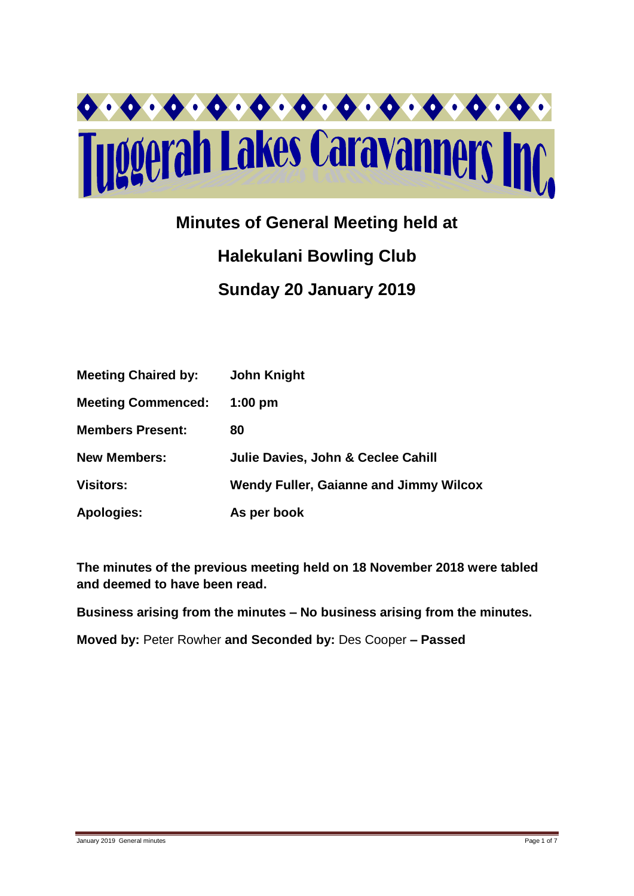

# **Minutes of General Meeting held at Halekulani Bowling Club Sunday 20 January 2019**

| <b>Meeting Chaired by:</b> | <b>John Knight</b>                            |
|----------------------------|-----------------------------------------------|
| <b>Meeting Commenced:</b>  | $1:00$ pm                                     |
| <b>Members Present:</b>    | 80                                            |
| <b>New Members:</b>        | Julie Davies, John & Ceclee Cahill            |
| <b>Visitors:</b>           | <b>Wendy Fuller, Gaianne and Jimmy Wilcox</b> |
| <b>Apologies:</b>          | As per book                                   |

**The minutes of the previous meeting held on 18 November 2018 were tabled and deemed to have been read.**

**Business arising from the minutes – No business arising from the minutes.**

**Moved by:** Peter Rowher **and Seconded by:** Des Cooper **– Passed**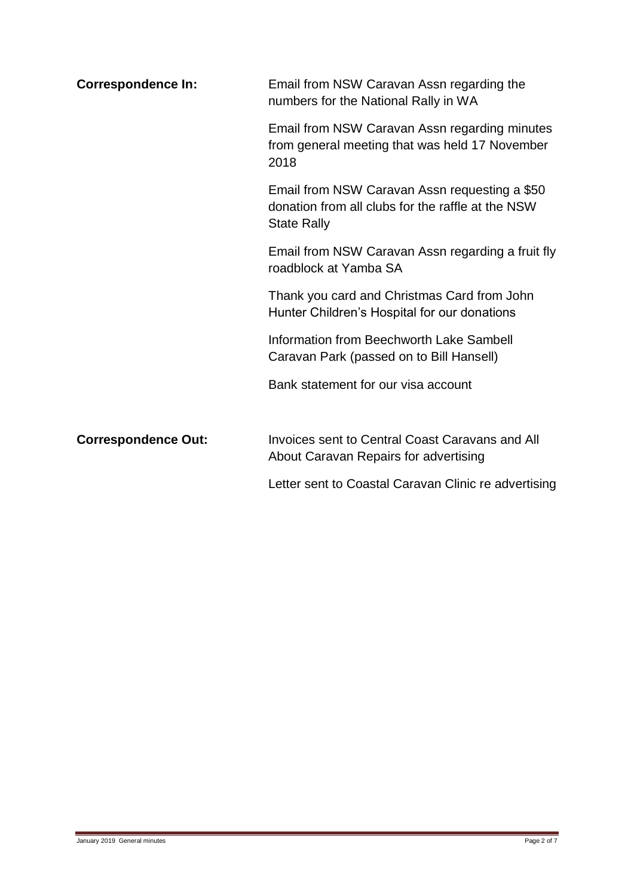| <b>Correspondence In:</b>  | Email from NSW Caravan Assn regarding the<br>numbers for the National Rally in WA                                        |  |  |  |  |
|----------------------------|--------------------------------------------------------------------------------------------------------------------------|--|--|--|--|
|                            | Email from NSW Caravan Assn regarding minutes<br>from general meeting that was held 17 November<br>2018                  |  |  |  |  |
|                            | Email from NSW Caravan Assn requesting a \$50<br>donation from all clubs for the raffle at the NSW<br><b>State Rally</b> |  |  |  |  |
|                            | Email from NSW Caravan Assn regarding a fruit fly<br>roadblock at Yamba SA                                               |  |  |  |  |
|                            | Thank you card and Christmas Card from John<br>Hunter Children's Hospital for our donations                              |  |  |  |  |
|                            | Information from Beechworth Lake Sambell<br>Caravan Park (passed on to Bill Hansell)                                     |  |  |  |  |
|                            | Bank statement for our visa account                                                                                      |  |  |  |  |
| <b>Correspondence Out:</b> | Invoices sent to Central Coast Caravans and All<br>About Caravan Repairs for advertising                                 |  |  |  |  |
|                            | Letter sent to Coastal Caravan Clinic re advertising                                                                     |  |  |  |  |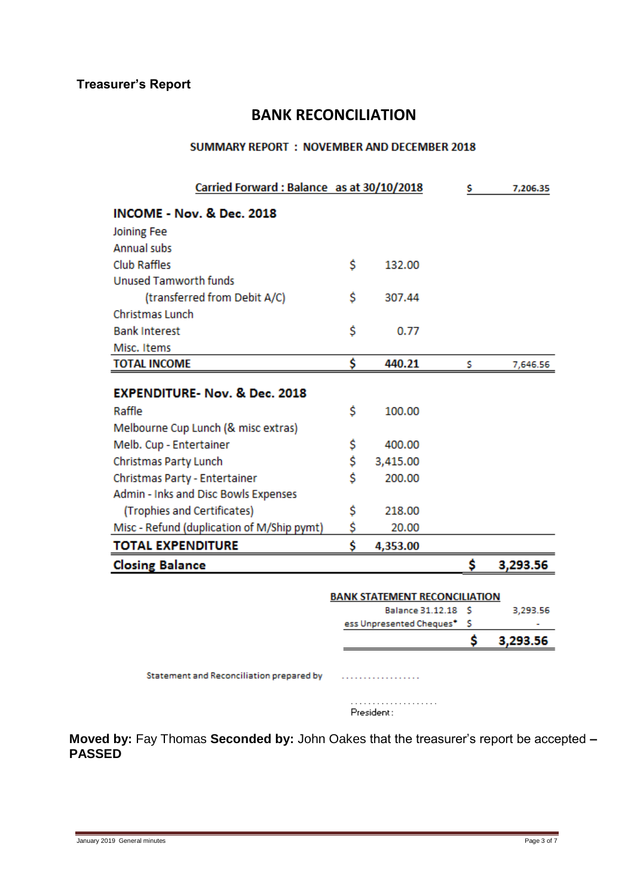## **Treasurer's Report**

## **BANK RECONCILIATION**

#### **SUMMARY REPORT : NOVEMBER AND DECEMBER 2018**

| Carried Forward: Balance as at 30/10/2018  |    |          | s  | 7,206.35 |
|--------------------------------------------|----|----------|----|----------|
| <b>INCOME - Nov. &amp; Dec. 2018</b>       |    |          |    |          |
| Joining Fee                                |    |          |    |          |
| <b>Annual subs</b>                         |    |          |    |          |
| <b>Club Raffles</b>                        | Ś  | 132.00   |    |          |
| <b>Unused Tamworth funds</b>               |    |          |    |          |
| (transferred from Debit A/C)               | Ś  | 307.44   |    |          |
| Christmas Lunch                            |    |          |    |          |
| <b>Bank Interest</b>                       | Ś  | 0.77     |    |          |
| Misc. Items                                |    |          |    |          |
| <b>TOTAL INCOME</b>                        | \$ | 440.21   | s  | 7,646.56 |
| <b>EXPENDITURE- Nov. &amp; Dec. 2018</b>   |    |          |    |          |
| Raffle                                     | Ś  | 100.00   |    |          |
| Melbourne Cup Lunch (& misc extras)        |    |          |    |          |
| Melb. Cup - Entertainer                    | \$ | 400.00   |    |          |
| Christmas Party Lunch                      | \$ | 3,415.00 |    |          |
| Christmas Party - Entertainer              | Ś  | 200.00   |    |          |
| Admin - Inks and Disc Bowls Expenses       |    |          |    |          |
| (Trophies and Certificates)                | \$ | 218.00   |    |          |
| Misc - Refund (duplication of M/Ship pymt) | \$ | 20.00    |    |          |
| <b>TOTAL EXPENDITURE</b>                   | Ś  | 4,353.00 |    |          |
| <b>Closing Balance</b>                     |    |          | \$ | 3,293.56 |

|                                      | 3,293.56 |
|--------------------------------------|----------|
|                                      |          |
| ess Unpresented Cheques* \$          |          |
| Balance 31.12.18 S                   | 3,293.56 |
| <b>BANK STATEMENT RECONCILIATION</b> |          |

Statement and Reconciliation prepared by manufacturers.

| President: |  |  |  |  |  |  |  |  |  |  |
|------------|--|--|--|--|--|--|--|--|--|--|

**Moved by:** Fay Thomas **Seconded by:** John Oakes that the treasurer's report be accepted **– PASSED**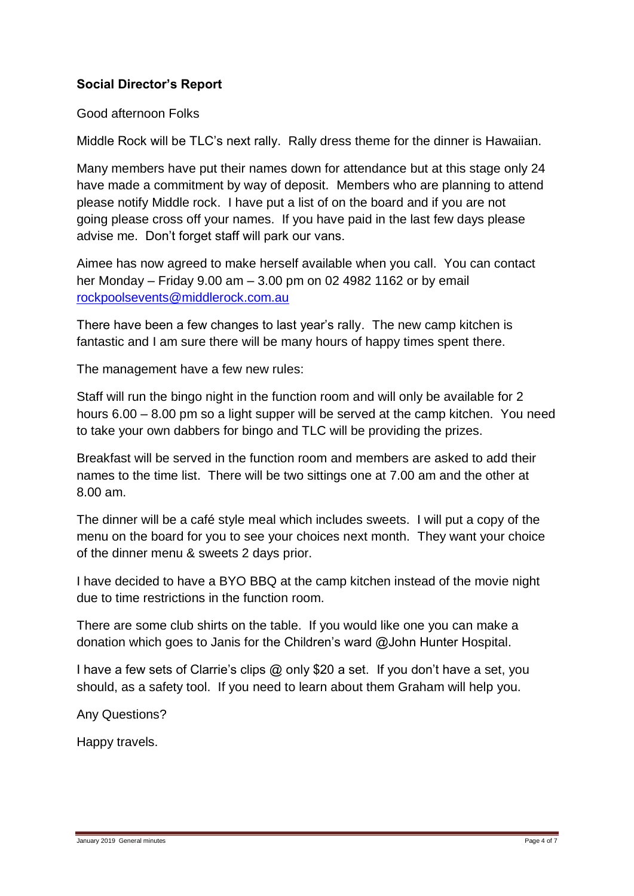## **Social Director's Report**

Good afternoon Folks

Middle Rock will be TLC's next rally. Rally dress theme for the dinner is Hawaiian.

Many members have put their names down for attendance but at this stage only 24 have made a commitment by way of deposit. Members who are planning to attend please notify Middle rock. I have put a list of on the board and if you are not going please cross off your names. If you have paid in the last few days please advise me. Don't forget staff will park our vans.

Aimee has now agreed to make herself available when you call. You can contact her Monday – Friday 9.00 am – 3.00 pm on 02 4982 1162 or by email [rockpoolsevents@middlerock.com.au](mailto:rockpoolsevents@middlerock.com.au)

There have been a few changes to last year's rally. The new camp kitchen is fantastic and I am sure there will be many hours of happy times spent there.

The management have a few new rules:

Staff will run the bingo night in the function room and will only be available for 2 hours 6.00 – 8.00 pm so a light supper will be served at the camp kitchen. You need to take your own dabbers for bingo and TLC will be providing the prizes.

Breakfast will be served in the function room and members are asked to add their names to the time list. There will be two sittings one at 7.00 am and the other at 8.00 am.

The dinner will be a café style meal which includes sweets. I will put a copy of the menu on the board for you to see your choices next month. They want your choice of the dinner menu & sweets 2 days prior.

I have decided to have a BYO BBQ at the camp kitchen instead of the movie night due to time restrictions in the function room.

There are some club shirts on the table. If you would like one you can make a donation which goes to Janis for the Children's ward @John Hunter Hospital.

I have a few sets of Clarrie's clips @ only \$20 a set. If you don't have a set, you should, as a safety tool. If you need to learn about them Graham will help you.

Any Questions?

Happy travels.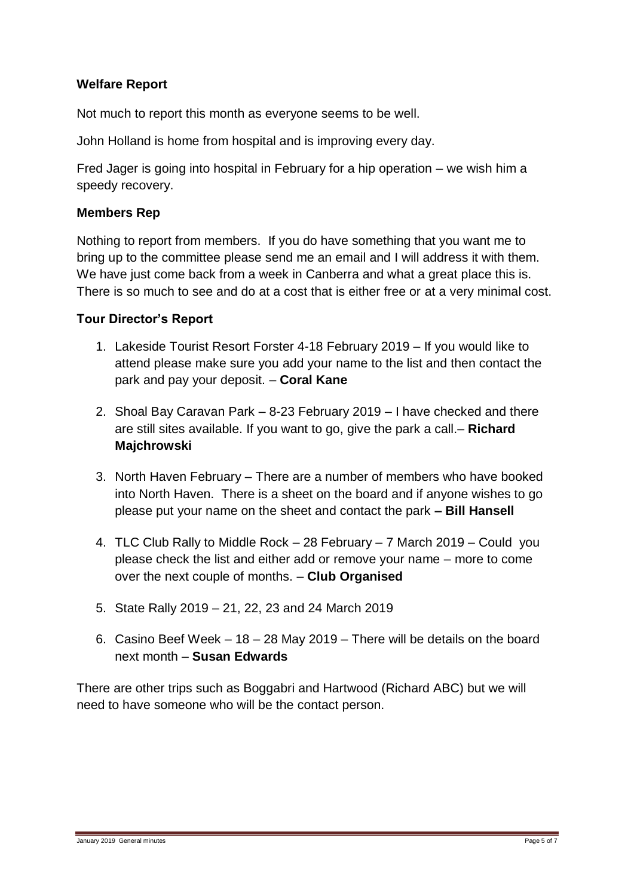## **Welfare Report**

Not much to report this month as everyone seems to be well.

John Holland is home from hospital and is improving every day.

Fred Jager is going into hospital in February for a hip operation – we wish him a speedy recovery.

#### **Members Rep**

Nothing to report from members. If you do have something that you want me to bring up to the committee please send me an email and I will address it with them. We have just come back from a week in Canberra and what a great place this is. There is so much to see and do at a cost that is either free or at a very minimal cost.

#### **Tour Director's Report**

- 1. Lakeside Tourist Resort Forster 4-18 February 2019 If you would like to attend please make sure you add your name to the list and then contact the park and pay your deposit. – **Coral Kane**
- 2. Shoal Bay Caravan Park 8-23 February 2019 I have checked and there are still sites available. If you want to go, give the park a call.– **Richard Majchrowski**
- 3. North Haven February There are a number of members who have booked into North Haven. There is a sheet on the board and if anyone wishes to go please put your name on the sheet and contact the park **– Bill Hansell**
- 4. TLC Club Rally to Middle Rock 28 February 7 March 2019 Could you please check the list and either add or remove your name – more to come over the next couple of months. – **Club Organised**
- 5. State Rally 2019 21, 22, 23 and 24 March 2019
- 6. Casino Beef Week 18 28 May 2019 There will be details on the board next month – **Susan Edwards**

There are other trips such as Boggabri and Hartwood (Richard ABC) but we will need to have someone who will be the contact person.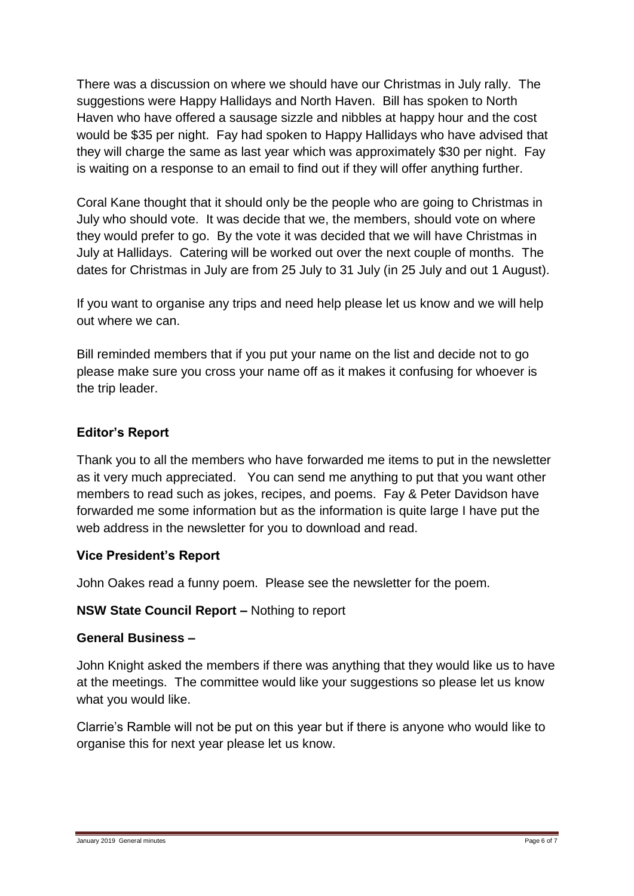There was a discussion on where we should have our Christmas in July rally. The suggestions were Happy Hallidays and North Haven. Bill has spoken to North Haven who have offered a sausage sizzle and nibbles at happy hour and the cost would be \$35 per night. Fay had spoken to Happy Hallidays who have advised that they will charge the same as last year which was approximately \$30 per night. Fay is waiting on a response to an email to find out if they will offer anything further.

Coral Kane thought that it should only be the people who are going to Christmas in July who should vote. It was decide that we, the members, should vote on where they would prefer to go. By the vote it was decided that we will have Christmas in July at Hallidays. Catering will be worked out over the next couple of months. The dates for Christmas in July are from 25 July to 31 July (in 25 July and out 1 August).

If you want to organise any trips and need help please let us know and we will help out where we can.

Bill reminded members that if you put your name on the list and decide not to go please make sure you cross your name off as it makes it confusing for whoever is the trip leader.

## **Editor's Report**

Thank you to all the members who have forwarded me items to put in the newsletter as it very much appreciated. You can send me anything to put that you want other members to read such as jokes, recipes, and poems. Fay & Peter Davidson have forwarded me some information but as the information is quite large I have put the web address in the newsletter for you to download and read.

## **Vice President's Report**

John Oakes read a funny poem. Please see the newsletter for the poem.

#### **NSW State Council Report –** Nothing to report

#### **General Business –**

John Knight asked the members if there was anything that they would like us to have at the meetings. The committee would like your suggestions so please let us know what you would like.

Clarrie's Ramble will not be put on this year but if there is anyone who would like to organise this for next year please let us know.